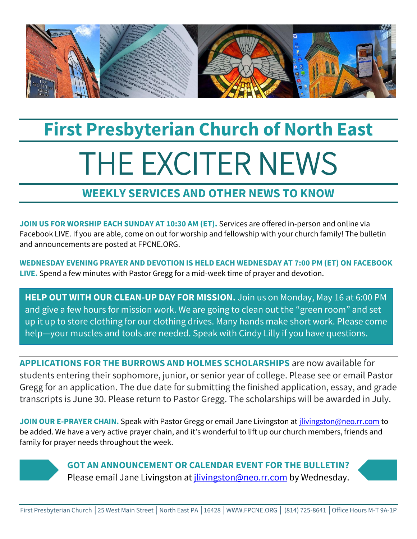

# **First Presbyterian Church of North East** THE EXCITER NEWS

## **WEEKLY SERVICES AND OTHER NEWS TO KNOW**

**JOIN US FOR WORSHIP EACH SUNDAY AT 10:30 AM (ET).** Services are offered in-person and online via Facebook LIVE. If you are able, come on out for worship and fellowship with your church family! The bulletin and announcements are posted at FPCNE.ORG.

**WEDNESDAY EVENING PRAYER AND DEVOTION IS HELD EACH WEDNESDAY AT 7:00 PM (ET) ON FACEBOOK LIVE.** Spend a few minutes with Pastor Gregg for a mid-week time of prayer and devotion.

**HELP OUT WITH OUR CLEAN-UP DAY FOR MISSION.** Join us on Monday, May 16 at 6:00 PM and give a few hours for mission work. We are going to clean out the "green room" and set up it up to store clothing for our clothing drives. Many hands make short work. Please come help—your muscles and tools are needed. Speak with Cindy Lilly if you have questions.

**APPLICATIONS FOR THE BURROWS AND HOLMES SCHOLARSHIPS** are now available for students entering their sophomore, junior, or senior year of college. Please see or email Pastor Gregg for an application. The due date for submitting the finished application, essay, and grade transcripts is June 30. Please return to Pastor Gregg. The scholarships will be awarded in July.

**JOIN OUR E-PRAYER CHAIN.** Speak with Pastor Gregg or email Jane Livingston at [jlivingston@neo.rr.com](mailto:jlivingston@neo.rr.com) to be added. We have a very active prayer chain, and it's wonderful to lift up our church members, friends and family for prayer needs throughout the week.



**GOT AN ANNOUNCEMENT OR CALENDAR EVENT FOR THE BULLETIN?** Please email Jane Livingston at *jlivingston@neo.rr.com* by Wednesday.